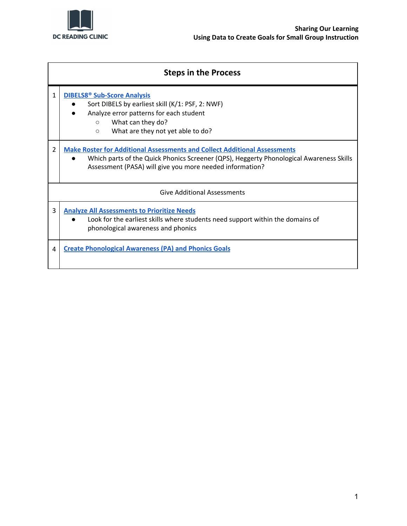

|                | <b>Steps in the Process</b>                                                                                                                                                                                                             |  |  |  |  |
|----------------|-----------------------------------------------------------------------------------------------------------------------------------------------------------------------------------------------------------------------------------------|--|--|--|--|
| 1              | <b>DIBELS8<sup>®</sup> Sub-Score Analysis</b><br>Sort DIBELS by earliest skill (K/1: PSF, 2: NWF)<br>Analyze error patterns for each student<br>What can they do?<br>$\circ$<br>What are they not yet able to do?<br>$\circ$            |  |  |  |  |
| $\overline{2}$ | <b>Make Roster for Additional Assessments and Collect Additional Assessments</b><br>Which parts of the Quick Phonics Screener (QPS), Heggerty Phonological Awareness Skills<br>Assessment (PASA) will give you more needed information? |  |  |  |  |
|                | <b>Give Additional Assessments</b>                                                                                                                                                                                                      |  |  |  |  |
| 3              | <b>Analyze All Assessments to Prioritize Needs</b><br>Look for the earliest skills where students need support within the domains of<br>phonological awareness and phonics                                                              |  |  |  |  |
| 4              | <b>Create Phonological Awareness (PA) and Phonics Goals</b>                                                                                                                                                                             |  |  |  |  |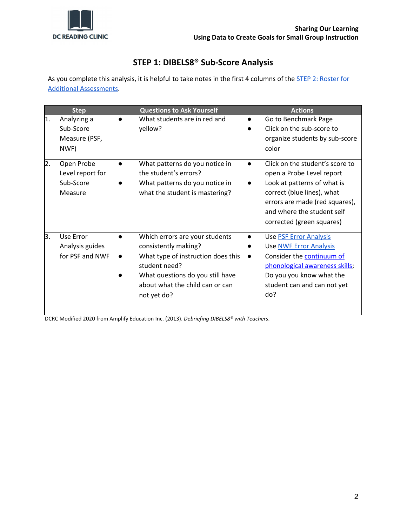

# <span id="page-1-0"></span>**STEP 1: DIBELS8® Sub-Score Analysis**

As you complete this analysis, it is helpful to take notes in the first 4 columns of the **STEP 2: [Roster](#page-2-0) for** Additional [Assessments.](#page-2-0)

|                  | <b>Step</b>                                            | <b>Questions to Ask Yourself</b>                                                                                                                                                                    |                        | <b>Actions</b>                                                                                                                                                                                                         |
|------------------|--------------------------------------------------------|-----------------------------------------------------------------------------------------------------------------------------------------------------------------------------------------------------|------------------------|------------------------------------------------------------------------------------------------------------------------------------------------------------------------------------------------------------------------|
| 1.               | Analyzing a<br>Sub-Score<br>Measure (PSF,<br>NWF)      | What students are in red and<br>yellow?                                                                                                                                                             | $\bullet$              | Go to Benchmark Page<br>Click on the sub-score to<br>organize students by sub-score<br>color                                                                                                                           |
| $\overline{2}$ . | Open Probe<br>Level report for<br>Sub-Score<br>Measure | What patterns do you notice in<br>the student's errors?<br>What patterns do you notice in<br>what the student is mastering?                                                                         |                        | Click on the student's score to<br>open a Probe Level report<br>Look at patterns of what is<br>correct (blue lines), what<br>errors are made (red squares),<br>and where the student self<br>corrected (green squares) |
| 3.               | Use Error<br>Analysis guides<br>for PSF and NWF        | Which errors are your students<br>consistently making?<br>What type of instruction does this<br>student need?<br>What questions do you still have<br>about what the child can or can<br>not yet do? | $\bullet$<br>$\bullet$ | <b>Use PSF Error Analysis</b><br><b>Use NWF Error Analysis</b><br>Consider the <b>continuum</b> of<br>phonological awareness skills;<br>Do you you know what the<br>student can and can not yet<br>do?                 |

DCRC Modified 2020 from Amplify Education Inc. (2013). *Debriefing DIBELS8® with Teachers*.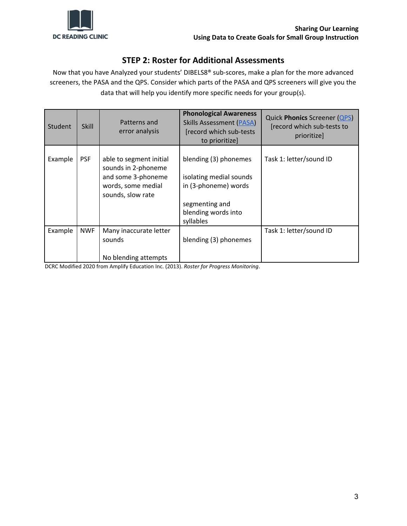

### <span id="page-2-0"></span>**STEP 2: Roster for Additional Assessments**

Now that you have Analyzed your students' DIBELS8® sub-scores, make a plan for the more advanced screeners, the PASA and the QPS. Consider which parts of the PASA and QPS screeners will give you the data that will help you identify more specific needs for your group(s).

| Student | <b>Skill</b> | Patterns and<br>error analysis                                                                                  | <b>Phonological Awareness</b><br><b>Skills Assessment (PASA)</b><br>[record which sub-tests]<br>to prioritize]                 | <b>Quick Phonics Screener (QPS)</b><br>[record which sub-tests to<br>prioritize] |
|---------|--------------|-----------------------------------------------------------------------------------------------------------------|--------------------------------------------------------------------------------------------------------------------------------|----------------------------------------------------------------------------------|
| Example | <b>PSF</b>   | able to segment initial<br>sounds in 2-phoneme<br>and some 3-phoneme<br>words, some medial<br>sounds, slow rate | blending (3) phonemes<br>isolating medial sounds<br>in (3-phoneme) words<br>segmenting and<br>blending words into<br>syllables | Task 1: letter/sound ID                                                          |
| Example | <b>NWF</b>   | Many inaccurate letter<br>sounds                                                                                | blending (3) phonemes                                                                                                          | Task 1: letter/sound ID                                                          |
|         |              | No blending attempts                                                                                            |                                                                                                                                |                                                                                  |

DCRC Modified 2020 from Amplify Education Inc. (2013). *Roster for Progress Monitoring*.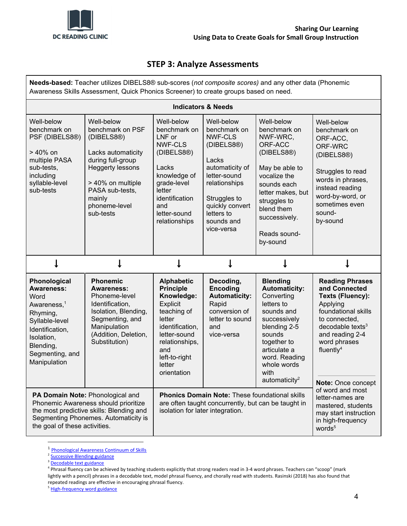

### <span id="page-3-0"></span>**STEP 3: Analyze Assessments**

**Needs-based:** Teacher utilizes DIBELS8® sub-scores (*not composite scores)* and any other data (Phonemic Awareness Skills Assessment, Quick Phonics Screener) to create groups based on need.

| <b>Indicators &amp; Needs</b>                                                                                                                                                       |                                                                                                                                                                                                    |                                                                                                                                                                                                |                                                                                                                                                                                                      |                                                                                                                                                                                                                                 |                                                                                                                                                                                                                                   |
|-------------------------------------------------------------------------------------------------------------------------------------------------------------------------------------|----------------------------------------------------------------------------------------------------------------------------------------------------------------------------------------------------|------------------------------------------------------------------------------------------------------------------------------------------------------------------------------------------------|------------------------------------------------------------------------------------------------------------------------------------------------------------------------------------------------------|---------------------------------------------------------------------------------------------------------------------------------------------------------------------------------------------------------------------------------|-----------------------------------------------------------------------------------------------------------------------------------------------------------------------------------------------------------------------------------|
| Well-below<br>benchmark on<br>PSF (DIBELS8®)<br>$> 40\%$ on<br>multiple PASA<br>sub-tests,<br>including<br>syllable-level<br>sub-tests                                              | Well-below<br>benchmark on PSF<br>(DIBELS8®)<br>Lacks automaticity<br>during full-group<br><b>Heggerty lessons</b><br>> 40% on multiple<br>PASA sub-tests,<br>mainly<br>phoneme-level<br>sub-tests | Well-below<br>benchmark on<br>LNF or<br><b>NWF-CLS</b><br>(DIBELS8®)<br>Lacks<br>knowledge of<br>grade-level<br>letter<br>identification<br>and<br>letter-sound<br>relationships               | Well-below<br>benchmark on<br><b>NWF-CLS</b><br>(DIBELS8®)<br>Lacks<br>automaticity of<br>letter-sound<br>relationships<br>Struggles to<br>quickly convert<br>letters to<br>sounds and<br>vice-versa | Well-below<br>benchmark on<br>NWF-WRC,<br>ORF-ACC<br>(DIBELS8®)<br>May be able to<br>vocalize the<br>sounds each<br>letter makes, but<br>struggles to<br>blend them<br>successively.<br>Reads sound-<br>by-sound                | Well-below<br>benchmark on<br>ORF-ACC.<br>ORF-WRC<br>(DIBELS8®)<br>Struggles to read<br>words in phrases,<br>instead reading<br>word-by-word, or<br>sometimes even<br>sound-<br>by-sound                                          |
|                                                                                                                                                                                     |                                                                                                                                                                                                    |                                                                                                                                                                                                |                                                                                                                                                                                                      |                                                                                                                                                                                                                                 |                                                                                                                                                                                                                                   |
| Phonological<br><b>Awareness:</b><br>Word<br>Awareness. <sup>1</sup><br>Rhyming,<br>Syllable-level<br>Identification,<br>Isolation,<br>Blending,<br>Segmenting, and<br>Manipulation | <b>Phonemic</b><br><b>Awareness:</b><br>Phoneme-level<br>Identification,<br>Isolation, Blending,<br>Segmenting, and<br>Manipulation<br>(Addition, Deletion,<br>Substitution)                       | <b>Alphabetic</b><br><b>Principle</b><br>Knowledge:<br>Explicit<br>teaching of<br>letter<br>identification,<br>letter-sound<br>relationships,<br>and<br>left-to-right<br>letter<br>orientation | Decoding,<br><b>Encoding</b><br><b>Automaticity:</b><br>Rapid<br>conversion of<br>letter to sound<br>and<br>vice-versa                                                                               | <b>Blending</b><br><b>Automaticity:</b><br>Converting<br>letters to<br>sounds and<br>successively<br>blending 2-5<br>sounds<br>together to<br>articulate a<br>word. Reading<br>whole words<br>with<br>automaticity <sup>2</sup> | <b>Reading Phrases</b><br>and Connected<br><b>Texts (Fluency):</b><br>Applying<br>foundational skills<br>to connected.<br>$decodable$ texts <sup>3</sup><br>and reading 2-4<br>word phrases<br>fluently $4$<br>Note: Once concept |
| the most predictive skills: Blending and                                                                                                                                            | PA Domain Note: Phonological and<br>Phonemic Awareness should prioritize                                                                                                                           | <b>Phonics Domain Note: These foundational skills</b><br>are often taught concurrently, but can be taught in<br>isolation for later integration.                                               |                                                                                                                                                                                                      |                                                                                                                                                                                                                                 | of word and most<br>letter-names are<br>mastered, students<br>may start instruction<br>in high-frequency<br>words <sup>5</sup>                                                                                                    |

<sup>1</sup> [Phonological](https://drive.google.com/file/d/1qdB8y6hos7kuXFgTWg-J8xJVjS6RDHav/view?usp=sharing) Awareness Continuum of Skills

<sup>&</sup>lt;sup>2</sup> [Successive](https://drive.google.com/file/d/1EX1S2ekeJynMaz9LFmA1B2vB1PyTcZHp/view?usp=sharing) Blending guidance

<sup>&</sup>lt;sup>3</sup> [Decodable](https://drive.google.com/file/d/1eK5KnPNDPoC4o4SLO4ygX-aHqy8h25Od/view?usp=sharing) text guidance

<sup>4</sup> Phrasal fluency can be achieved by teaching students explicitly that strong readers read in 3-4 word phrases. Teachers can "scoop" (mark lightly with a pencil) phrases in a decodable text, model phrasal fluency, and chorally read with students. Rasinski (2018) has also found that repeated readings are effective in encouraging phrasal fluency.

<sup>&</sup>lt;sup>5</sup> [High-frequency](https://drive.google.com/file/d/1VxC7vC58SCMfKOTTamadaDINUQlS-KQG/view?usp=sharing) word guidance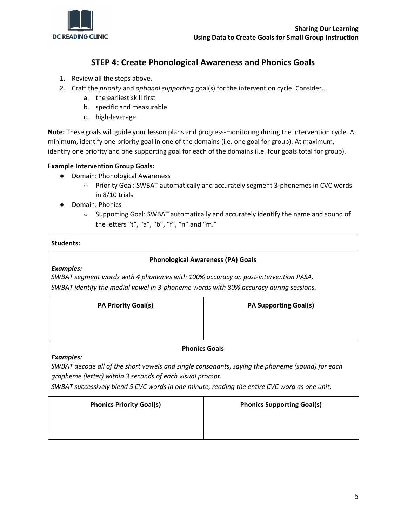

## <span id="page-4-0"></span>**STEP 4: Create Phonological Awareness and Phonics Goals**

- 1. Review all the steps above.
- 2. Craft the *priority* and *optional supporting* goal(s) for the intervention cycle. Consider...
	- a. the earliest skill first
	- b. specific and measurable
	- c. high-leverage

**Note:** These goals will guide your lesson plans and progress-monitoring during the intervention cycle. At minimum, identify one priority goal in one of the domains (i.e. one goal for group). At maximum, identify one priority and one supporting goal for each of the domains (i.e. four goals total for group).

#### **Example Intervention Group Goals:**

- Domain: Phonological Awareness
	- Priority Goal: SWBAT automatically and accurately segment 3-phonemes in CVC words in 8/10 trials
- Domain: Phonics
	- Supporting Goal: SWBAT automatically and accurately identify the name and sound of the letters "t", "a", "b", "f", "n" and "m."

#### **Students:**

#### **Phonological Awareness (PA) Goals**

*Examples:*

*SWBAT segment words with 4 phonemes with 100% accuracy on post-intervention PASA. SWBAT identify the medial vowel in 3-phoneme words with 80% accuracy during sessions.*

| <b>PA Priority Goal(s)</b>                                                                                                                                                                                                                                                       | <b>PA Supporting Goal(s)</b>      |  |  |  |
|----------------------------------------------------------------------------------------------------------------------------------------------------------------------------------------------------------------------------------------------------------------------------------|-----------------------------------|--|--|--|
|                                                                                                                                                                                                                                                                                  |                                   |  |  |  |
| <b>Phonics Goals</b>                                                                                                                                                                                                                                                             |                                   |  |  |  |
| <b>Examples:</b><br>SWBAT decode all of the short vowels and single consonants, saying the phoneme (sound) for each<br>grapheme (letter) within 3 seconds of each visual prompt.<br>SWBAT successively blend 5 CVC words in one minute, reading the entire CVC word as one unit. |                                   |  |  |  |
| <b>Phonics Priority Goal(s)</b>                                                                                                                                                                                                                                                  | <b>Phonics Supporting Goal(s)</b> |  |  |  |
|                                                                                                                                                                                                                                                                                  |                                   |  |  |  |